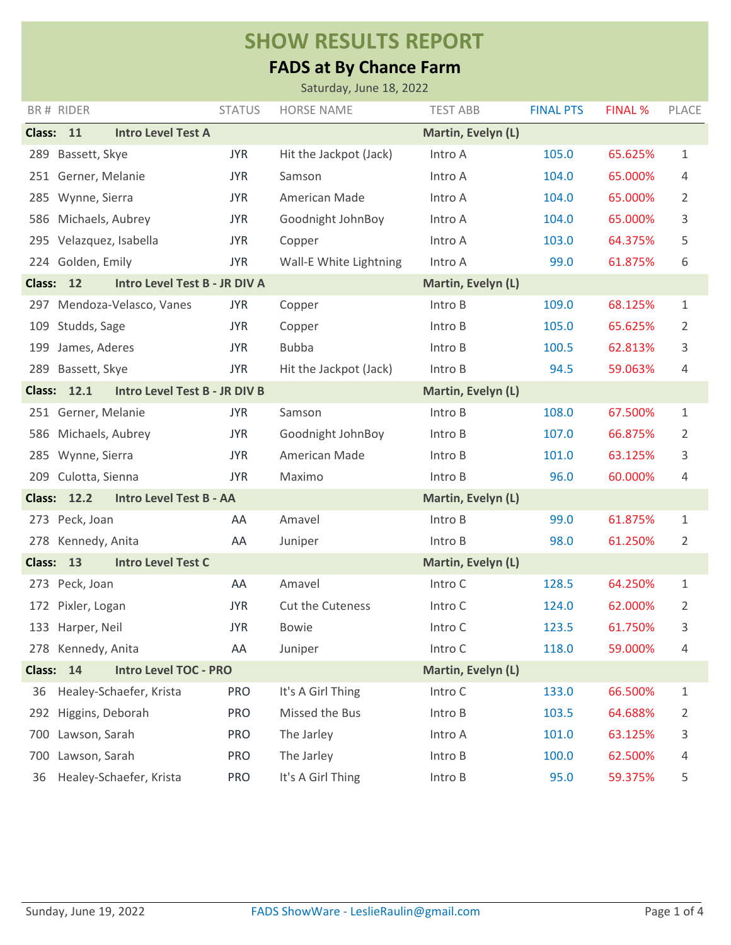## **SHOW RESULTS REPORT**

## **FADS at By Chance Farm**

|               |                                                      |               | Saturday, June 18, 2022 |                    |                  |         |              |
|---------------|------------------------------------------------------|---------------|-------------------------|--------------------|------------------|---------|--------------|
|               | BR# RIDER                                            | <b>STATUS</b> | <b>HORSE NAME</b>       | <b>TEST ABB</b>    | <b>FINAL PTS</b> | FINAL % | PLACE        |
| <b>Class:</b> | 11<br><b>Intro Level Test A</b>                      |               |                         | Martin, Evelyn (L) |                  |         |              |
| 289           | Bassett, Skye                                        | <b>JYR</b>    | Hit the Jackpot (Jack)  | Intro A            | 105.0            | 65.625% | 1            |
|               | 251 Gerner, Melanie                                  | <b>JYR</b>    | Samson                  | Intro A            | 104.0            | 65.000% | 4            |
| 285           | Wynne, Sierra                                        | <b>JYR</b>    | American Made           | Intro A            | 104.0            | 65.000% | 2            |
| 586           | Michaels, Aubrey                                     | <b>JYR</b>    | Goodnight JohnBoy       | Intro A            | 104.0            | 65.000% | 3            |
|               | 295 Velazquez, Isabella                              | <b>JYR</b>    | Copper                  | Intro A            | 103.0            | 64.375% | 5            |
|               | 224 Golden, Emily                                    | <b>JYR</b>    | Wall-E White Lightning  | Intro A            | 99.0             | 61.875% | 6            |
| <b>Class:</b> | 12<br>Intro Level Test B - JR DIV A                  |               |                         | Martin, Evelyn (L) |                  |         |              |
| 297           | Mendoza-Velasco, Vanes                               | <b>JYR</b>    | Copper                  | Intro B            | 109.0            | 68.125% | 1            |
| 109           | Studds, Sage                                         | <b>JYR</b>    | Copper                  | Intro B            | 105.0            | 65.625% | 2            |
| 199           | James, Aderes                                        | <b>JYR</b>    | <b>Bubba</b>            | Intro B            | 100.5            | 62.813% | 3            |
| 289           | Bassett, Skye                                        | <b>JYR</b>    | Hit the Jackpot (Jack)  | Intro B            | 94.5             | 59.063% | 4            |
| <b>Class:</b> | 12.1<br><b>Intro Level Test B - JR DIV B</b>         |               |                         | Martin, Evelyn (L) |                  |         |              |
|               | 251 Gerner, Melanie                                  | <b>JYR</b>    | Samson                  | Intro B            | 108.0            | 67.500% | 1            |
| 586           | Michaels, Aubrey                                     | <b>JYR</b>    | Goodnight JohnBoy       | Intro B            | 107.0            | 66.875% | 2            |
| 285           | Wynne, Sierra                                        | <b>JYR</b>    | American Made           | Intro B            | 101.0            | 63.125% | 3            |
| 209           | Culotta, Sienna                                      | <b>JYR</b>    | Maximo                  | Intro B            | 96.0             | 60.000% | 4            |
|               | <b>Class: 12.2</b><br><b>Intro Level Test B - AA</b> |               |                         | Martin, Evelyn (L) |                  |         |              |
|               | 273 Peck, Joan                                       | AA            | Amavel                  | Intro B            | 99.0             | 61.875% | 1            |
| 278           | Kennedy, Anita                                       | AA            | Juniper                 | Intro B            | 98.0             | 61.250% | 2            |
| <b>Class:</b> | 13<br><b>Intro Level Test C</b>                      |               |                         | Martin, Evelyn (L) |                  |         |              |
|               | 273 Peck, Joan                                       | AA            | Amavel                  | Intro C            | 128.5            | 64.250% | 1            |
|               | 172 Pixler, Logan                                    | <b>JYR</b>    | Cut the Cuteness        | Intro C            | 124.0            | 62.000% | 2            |
|               | 133 Harper, Neil                                     | <b>JYR</b>    | <b>Bowie</b>            | Intro C            | 123.5            | 61.750% | 3            |
|               | 278 Kennedy, Anita                                   | AA            | Juniper                 | Intro C            | 118.0            | 59.000% | 4            |
|               | Class: 14<br><b>Intro Level TOC - PRO</b>            |               |                         | Martin, Evelyn (L) |                  |         |              |
| 36            | Healey-Schaefer, Krista                              | <b>PRO</b>    | It's A Girl Thing       | Intro C            | 133.0            | 66.500% | $\mathbf{1}$ |
| 292           | Higgins, Deborah                                     | <b>PRO</b>    | Missed the Bus          | Intro B            | 103.5            | 64.688% | 2            |
| 700           | Lawson, Sarah                                        | <b>PRO</b>    | The Jarley              | Intro A            | 101.0            | 63.125% | 3            |
| 700           | Lawson, Sarah                                        | <b>PRO</b>    | The Jarley              | Intro B            | 100.0            | 62.500% | 4            |
| 36            | Healey-Schaefer, Krista                              | <b>PRO</b>    | It's A Girl Thing       | Intro B            | 95.0             | 59.375% | 5            |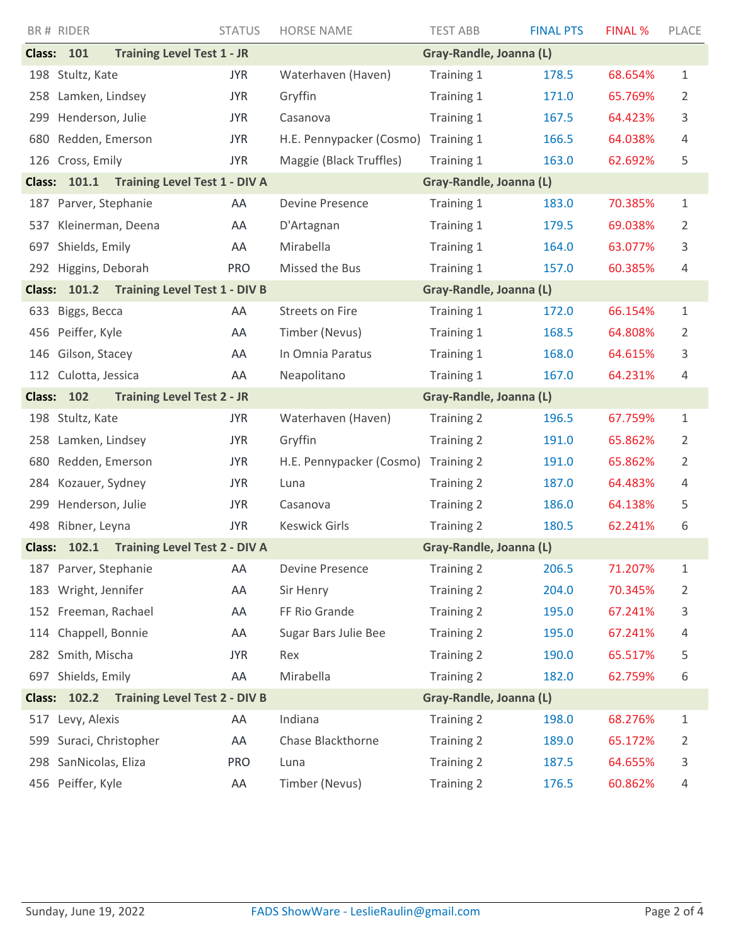|                                                                                           | BR# RIDER             | <b>STATUS</b>                        | <b>HORSE NAME</b>        | <b>TEST ABB</b>         | <b>FINAL PTS</b> | FINAL % | PLACE          |
|-------------------------------------------------------------------------------------------|-----------------------|--------------------------------------|--------------------------|-------------------------|------------------|---------|----------------|
|                                                                                           | <b>Class: 101</b>     | <b>Training Level Test 1 - JR</b>    |                          | Gray-Randle, Joanna (L) |                  |         |                |
|                                                                                           | 198 Stultz, Kate      | <b>JYR</b>                           | Waterhaven (Haven)       | Training 1              | 178.5            | 68.654% | $\mathbf{1}$   |
| 258                                                                                       | Lamken, Lindsey       | <b>JYR</b>                           | Gryffin                  | Training 1              | 171.0            | 65.769% | 2              |
| 299                                                                                       | Henderson, Julie      | <b>JYR</b>                           | Casanova                 | Training 1              | 167.5            | 64.423% | 3              |
| 680                                                                                       | Redden, Emerson       | <b>JYR</b>                           | H.E. Pennypacker (Cosmo) | Training 1              | 166.5            | 64.038% | 4              |
|                                                                                           | 126 Cross, Emily      | <b>JYR</b>                           | Maggie (Black Truffles)  | Training 1              | 163.0            | 62.692% | 5              |
|                                                                                           | Class: 101.1          | <b>Training Level Test 1 - DIV A</b> |                          | Gray-Randle, Joanna (L) |                  |         |                |
|                                                                                           | 187 Parver, Stephanie | AA                                   | <b>Devine Presence</b>   | Training 1              | 183.0            | 70.385% | $\mathbf 1$    |
| 537                                                                                       | Kleinerman, Deena     | AA                                   | D'Artagnan               | Training 1              | 179.5            | 69.038% | 2              |
| 697                                                                                       | Shields, Emily        | AA                                   | Mirabella                | Training 1              | 164.0            | 63.077% | 3              |
|                                                                                           | 292 Higgins, Deborah  | <b>PRO</b>                           | Missed the Bus           | Training 1              | 157.0            | 60.385% | 4              |
| <b>Training Level Test 1 - DIV B</b><br>Gray-Randle, Joanna (L)<br>101.2<br><b>Class:</b> |                       |                                      |                          |                         |                  |         |                |
| 633                                                                                       | Biggs, Becca          | AA                                   | Streets on Fire          | Training 1              | 172.0            | 66.154% | $\mathbf 1$    |
| 456                                                                                       | Peiffer, Kyle         | AA                                   | Timber (Nevus)           | Training 1              | 168.5            | 64.808% | 2              |
| 146                                                                                       | Gilson, Stacey        | AA                                   | In Omnia Paratus         | Training 1              | 168.0            | 64.615% | 3              |
|                                                                                           | 112 Culotta, Jessica  | AA                                   | Neapolitano              | Training 1              | 167.0            | 64.231% | 4              |
| <b>Class:</b>                                                                             | 102                   | <b>Training Level Test 2 - JR</b>    | Gray-Randle, Joanna (L)  |                         |                  |         |                |
| 198                                                                                       | Stultz, Kate          | <b>JYR</b>                           | Waterhaven (Haven)       | Training 2              | 196.5            | 67.759% | $\mathbf 1$    |
| 258                                                                                       | Lamken, Lindsey       | <b>JYR</b>                           | Gryffin                  | Training 2              | 191.0            | 65.862% | 2              |
| 680                                                                                       | Redden, Emerson       | <b>JYR</b>                           | H.E. Pennypacker (Cosmo) | Training 2              | 191.0            | 65.862% | 2              |
| 284                                                                                       | Kozauer, Sydney       | <b>JYR</b>                           | Luna                     | Training 2              | 187.0            | 64.483% | 4              |
| 299                                                                                       | Henderson, Julie      | <b>JYR</b>                           | Casanova                 | <b>Training 2</b>       | 186.0            | 64.138% | 5              |
|                                                                                           | 498 Ribner, Leyna     | <b>JYR</b>                           | <b>Keswick Girls</b>     | <b>Training 2</b>       | 180.5            | 62.241% | 6              |
| <b>Class:</b>                                                                             | 102.1                 | <b>Training Level Test 2 - DIV A</b> |                          | Gray-Randle, Joanna (L) |                  |         |                |
|                                                                                           | 187 Parver, Stephanie | AA                                   | Devine Presence          | Training 2              | 206.5            | 71.207% | 1              |
|                                                                                           | 183 Wright, Jennifer  | AA                                   | Sir Henry                | Training 2              | 204.0            | 70.345% | 2              |
|                                                                                           | 152 Freeman, Rachael  | AA                                   | FF Rio Grande            | Training 2              | 195.0            | 67.241% | 3              |
| 114                                                                                       | Chappell, Bonnie      | AA                                   | Sugar Bars Julie Bee     | Training 2              | 195.0            | 67.241% | 4              |
|                                                                                           | 282 Smith, Mischa     | <b>JYR</b>                           | Rex                      | Training 2              | 190.0            | 65.517% | 5              |
|                                                                                           | 697 Shields, Emily    | AA                                   | Mirabella                | Training 2              | 182.0            | 62.759% | 6              |
| Class: 102.2 Training Level Test 2 - DIV B<br>Gray-Randle, Joanna (L)                     |                       |                                      |                          |                         |                  |         |                |
| 517                                                                                       | Levy, Alexis          | AA                                   | Indiana                  | Training 2              | 198.0            | 68.276% | $\mathbf{1}$   |
| 599                                                                                       | Suraci, Christopher   | AA                                   | Chase Blackthorne        | Training 2              | 189.0            | 65.172% | $\overline{2}$ |
| 298                                                                                       | SanNicolas, Eliza     | <b>PRO</b>                           | Luna                     | Training 2              | 187.5            | 64.655% | 3              |
|                                                                                           | 456 Peiffer, Kyle     | AA                                   | Timber (Nevus)           | Training 2              | 176.5            | 60.862% | 4              |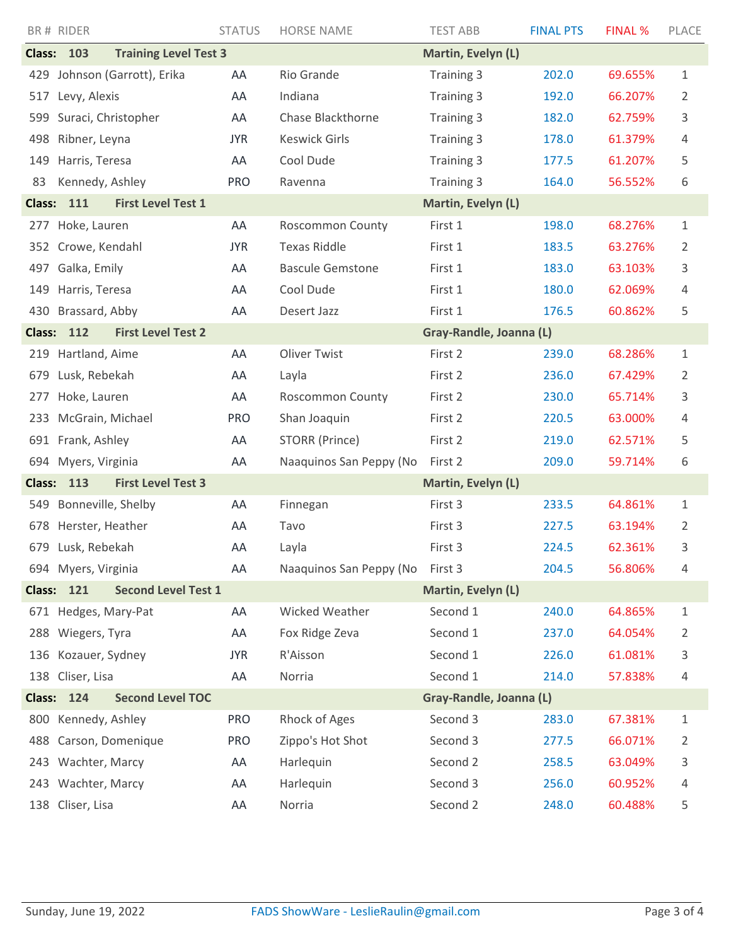|               | BR# RIDER                                       | <b>STATUS</b> | <b>HORSE NAME</b>               | <b>TEST ABB</b>         | <b>FINAL PTS</b> | <b>FINAL %</b> | PLACE |
|---------------|-------------------------------------------------|---------------|---------------------------------|-------------------------|------------------|----------------|-------|
| <b>Class:</b> | 103<br><b>Training Level Test 3</b>             |               |                                 | Martin, Evelyn (L)      |                  |                |       |
| 429           | Johnson (Garrott), Erika                        | AA            | Rio Grande                      | Training 3              | 202.0            | 69.655%        | 1     |
| 517           | Levy, Alexis                                    | AA            | Indiana                         | Training 3              | 192.0            | 66.207%        | 2     |
| 599           | Suraci, Christopher                             | AA            | Chase Blackthorne               | Training 3              | 182.0            | 62.759%        | 3     |
| 498           | Ribner, Leyna                                   | <b>JYR</b>    | <b>Keswick Girls</b>            | Training 3              | 178.0            | 61.379%        | 4     |
| 149           | Harris, Teresa                                  | AA            | Cool Dude                       | Training 3              | 177.5            | 61.207%        | 5     |
| 83            | Kennedy, Ashley                                 | <b>PRO</b>    | Ravenna                         | Training 3              | 164.0            | 56.552%        | 6     |
| <b>Class:</b> | 111<br><b>First Level Test 1</b>                |               |                                 | Martin, Evelyn (L)      |                  |                |       |
| 277           | Hoke, Lauren                                    | AA            | <b>Roscommon County</b>         | First 1                 | 198.0            | 68.276%        | 1     |
|               | 352 Crowe, Kendahl                              | <b>JYR</b>    | <b>Texas Riddle</b>             | First 1                 | 183.5            | 63.276%        | 2     |
| 497           | Galka, Emily                                    | AA            | <b>Bascule Gemstone</b>         | First 1                 | 183.0            | 63.103%        | 3     |
| 149           | Harris, Teresa                                  | AA            | Cool Dude                       | First 1                 | 180.0            | 62.069%        | 4     |
| 430           | Brassard, Abby                                  | AA            | Desert Jazz                     | First 1                 | 176.5            | 60.862%        | 5     |
| <b>Class:</b> | 112<br><b>First Level Test 2</b>                |               |                                 | Gray-Randle, Joanna (L) |                  |                |       |
| 219           | Hartland, Aime                                  | AA            | <b>Oliver Twist</b>             | First 2                 | 239.0            | 68.286%        | 1     |
| 679           | Lusk, Rebekah                                   | AA            | Layla                           | First 2                 | 236.0            | 67.429%        | 2     |
| 277           | Hoke, Lauren                                    | AA            | <b>Roscommon County</b>         | First 2                 | 230.0            | 65.714%        | 3     |
| 233           | McGrain, Michael                                | <b>PRO</b>    | Shan Joaquin                    | First 2                 | 220.5            | 63.000%        | 4     |
|               | 691 Frank, Ashley                               | AA            | STORR (Prince)                  | First 2                 | 219.0            | 62.571%        | 5     |
| 694           | Myers, Virginia                                 | AA            | Naaquinos San Peppy (No         | First 2                 | 209.0            | 59.714%        | 6     |
| <b>Class:</b> | <b>First Level Test 3</b><br>113                |               |                                 | Martin, Evelyn (L)      |                  |                |       |
| 549           | Bonneville, Shelby                              | AA            | Finnegan                        | First 3                 | 233.5            | 64.861%        | 1     |
|               | 678 Herster, Heather                            | AA            | Tavo                            | First 3                 | 227.5            | 63.194%        | 2     |
|               | 679 Lusk, Rebekah                               | AA            | Layla                           | First 3                 | 224.5            | 62.361%        | 3     |
|               | 694 Myers, Virginia                             | AA            | Naaquinos San Peppy (No First 3 |                         | 204.5            | 56.806%        | 4     |
|               | <b>Second Level Test 1</b><br><b>Class: 121</b> |               |                                 | Martin, Evelyn (L)      |                  |                |       |
|               | 671 Hedges, Mary-Pat                            | AA            | Wicked Weather                  | Second 1                | 240.0            | 64.865%        | 1     |
| 288           | Wiegers, Tyra                                   | AA            | Fox Ridge Zeva                  | Second 1                | 237.0            | 64.054%        | 2     |
| 136           | Kozauer, Sydney                                 | <b>JYR</b>    | R'Aisson                        | Second 1                | 226.0            | 61.081%        | 3     |
|               | 138 Cliser, Lisa                                | AA            | Norria                          | Second 1                | 214.0            | 57.838%        | 4     |
|               | <b>Second Level TOC</b><br><b>Class: 124</b>    |               |                                 | Gray-Randle, Joanna (L) |                  |                |       |
| 800           | Kennedy, Ashley                                 | <b>PRO</b>    | Rhock of Ages                   | Second 3                | 283.0            | 67.381%        | 1     |
| 488           | Carson, Domenique                               | <b>PRO</b>    | Zippo's Hot Shot                | Second 3                | 277.5            | 66.071%        | 2     |
|               | 243 Wachter, Marcy                              | AA            | Harlequin                       | Second 2                | 258.5            | 63.049%        | 3     |
|               | 243 Wachter, Marcy                              | AA            | Harlequin                       | Second 3                | 256.0            | 60.952%        | 4     |
|               | 138 Cliser, Lisa                                | AA            | Norria                          | Second 2                | 248.0            | 60.488%        | 5     |